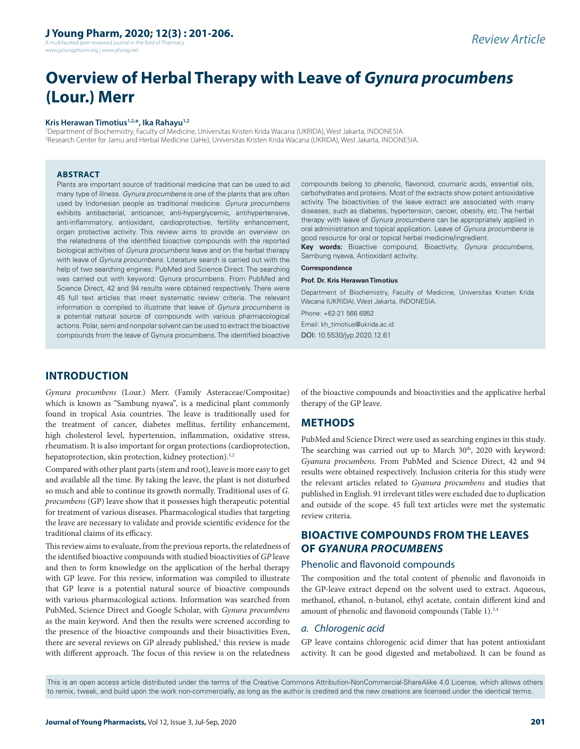# **J Young Pharm, 2020; 12(3) : 201-206.**

A multifaceted peer reviewed journal in the field of Pharm www.jyoungpharm.org | www.phcog.net

# **Overview of Herbal Therapy with Leave of** *Gynura procumbens* **(Lour.) Merr**

#### **Kris Herawan Timotius1,2,\*, Ika Rahayu1,2**

1 Department of Biochemistry, Faculty of Medicine, Universitas Kristen Krida Wacana (UKRIDA), West Jakarta, INDONESIA. 2 Research Center for Jamu and Herbal Medicine (JaHe), Universitas Kristen Krida Wacana (UKRIDA), West Jakarta, INDONESIA.

#### **ABSTRACT**

Plants are important source of traditional medicine that can be used to aid many type of illness. *Gynura procumbens* is one of the plants that are often used by Indonesian people as traditional medicine. *Gynura procumbens*  exhibits antibacterial, anticancer, anti-hyperglycemic, antihypertensive, anti-inflammatory, antioxidant, cardioprotective, fertility enhancement, organ protective activity. This review aims to provide an overview on the relatedness of the identified bioactive compounds with the reported biological activities of *Gynura procumbens* leave and on the herbal therapy with leave of *Gynura procumbens*. Literature search is carried out with the help of two searching engines: PubMed and Science Direct. The searching was carried out with keyword: Gynura procumbens. From PubMed and Science Direct, 42 and 94 results were obtained respectively. There were 45 full text articles that meet systematic review criteria. The relevant information is compiled to illustrate that leave of *Gynura procumbens* is a potential natural source of compounds with various pharmacological actions. Polar, semi and nonpolar solvent can be used to extract the bioactive compounds from the leave of Gynura procumbens. The identified bioactive

compounds belong to phenolic, flavonoid, coumaric acids, essential oils, carbohydrates and proteins. Most of the extracts show potent antioxidative activity. The bioactivities of the leave extract are associated with many diseases, such as diabetes, hypertension, cancer, obesity, etc. The herbal therapy with leave of *Gynura procumbens* can be appropriately applied in oral administration and topical application. Leave of *Gynura procumbens* is good resource for oral or topical herbal medicine/ingredient.

**Key words:** Bioactive compound, Bioactivity, *Gynura procumbens*, Sambung nyawa, Antioxidant activity.

#### **Correspondence**

#### **Prof. Dr. Kris Herawan Timotius**

Department of Biochemistry, Faculty of Medicine, Universitas Kristen Krida Wacana (UKRIDA), West Jakarta, INDONESIA.

Phone: +62-21 566 6952

Email: kh\_timotius@ukrida.ac.id DOI: 10.5530/jyp.2020.12.61

# **INTRODUCTION**

*Gynura procumbens* (Lour.) Merr. (Family Asteraceae/Compositae) which is known as "Sambung nyawa"*,* is a medicinal plant commonly found in tropical Asia countries. The leave is traditionally used for the treatment of cancer, diabetes mellitus, fertility enhancement, high cholesterol level, hypertension, inflammation, oxidative stress, rheumatism. It is also important for organ protections (cardioprotection, hepatoprotection, skin protection, kidney protection).<sup>1,2</sup>

Compared with other plant parts (stem and root), leave is more easy to get and available all the time. By taking the leave, the plant is not disturbed so much and able to continue its growth normally. Traditional uses of *G. procumbens* (GP) leave show that it possesses high therapeutic potential for treatment of various diseases. Pharmacological studies that targeting the leave are necessary to validate and provide scientific evidence for the traditional claims of its efficacy.

This review aims to evaluate, from the previous reports, the relatedness of the identified bioactive compounds with studied bioactivities of *GP* leave and then to form knowledge on the application of the herbal therapy with GP leave. For this review, information was compiled to illustrate that GP leave is a potential natural source of bioactive compounds with various pharmacological actions. Information was searched from PubMed, Science Direct and Google Scholar, with *Gynura procumbens* as the main keyword. And then the results were screened according to the presence of the bioactive compounds and their bioactivities Even, there are several reviews on GP already published,<sup>1</sup> this review is made with different approach. The focus of this review is on the relatedness

of the bioactive compounds and bioactivities and the applicative herbal therapy of the GP leave.

# **METHODS**

PubMed and Science Direct were used as searching engines in this study. The searching was carried out up to March 30<sup>th</sup>, 2020 with keyword: *Gyanura procumbens*. From PubMed and Science Direct, 42 and 94 results were obtained respectively. Inclusion criteria for this study were the relevant articles related to *Gyanura procumbens* and studies that published in English. 91 irrelevant titles were excluded due to duplication and outside of the scope. 45 full text articles were met the systematic review criteria.

# **BIOACTIVE COMPOUNDS FROM THE LEAVES OF** *GYANURA PROCUMBENS*

#### Phenolic and flavonoid compounds

The composition and the total content of phenolic and flavonoids in the GP-leave extract depend on the solvent used to extract. Aqueous, methanol, ethanol, n-butanol, ethyl acetate, contain different kind and amount of phenolic and flavonoid compounds (Table 1).<sup>3,4</sup>

#### *a. Chlorogenic acid*

GP leave contains chlorogenic acid dimer that has potent antioxidant activity. It can be good digested and metabolized. It can be found as

This is an open access article distributed under the terms of the Creative Commons Attribution-NonCommercial-ShareAlike 4.0 License, which allows others to remix, tweak, and build upon the work non-commercially, as long as the author is credited and the new creations are licensed under the identical terms.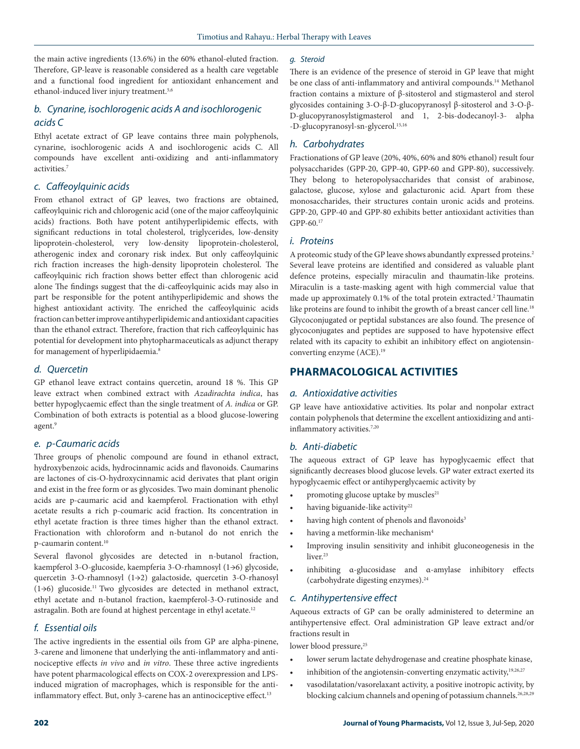the main active ingredients (13.6%) in the 60% ethanol-eluted fraction. Therefore, GP-leave is reasonable considered as a health care vegetable and a functional food ingredient for antioxidant enhancement and ethanol-induced liver injury treatment.5,6

# *b. Cynarine, isochlorogenic acids A and isochlorogenic acids C*

Ethyl acetate extract of GP leave contains three main polyphenols, cynarine, isochlorogenic acids A and isochlorogenic acids C. All compounds have excellent anti-oxidizing and anti-inflammatory activities.7

## *c. Caffeoylquinic acids*

From ethanol extract of GP leaves, two fractions are obtained, caffeoylquinic rich and chlorogenic acid (one of the major caffeoylquinic acids) fractions. Both have potent antihyperlipidemic effects, with significant reductions in total cholesterol, triglycerides, low-density lipoprotein-cholesterol, very low-density lipoprotein-cholesterol, atherogenic index and coronary risk index. But only caffeoylquinic rich fraction increases the high-density lipoprotein cholesterol. The caffeoylquinic rich fraction shows better effect than chlorogenic acid alone The findings suggest that the di-caffeoylquinic acids may also in part be responsible for the potent antihyperlipidemic and shows the highest antioxidant activity. The enriched the caffeoylquinic acids fraction can better improve antihyperlipidemic and antioxidant capacities than the ethanol extract. Therefore, fraction that rich caffeoylquinic has potential for development into phytopharmaceuticals as adjunct therapy for management of hyperlipidaemia.<sup>8</sup>

#### *d. Quercetin*

GP ethanol leave extract contains quercetin, around 18 %. This GP leave extract when combined extract with *Azadirachta indica*, has better hypoglycaemic effect than the single treatment of *A. indica* or GP. Combination of both extracts is potential as a blood glucose-lowering agent.<sup>9</sup>

## *e. p-Caumaric acids*

Three groups of phenolic compound are found in ethanol extract, hydroxybenzoic acids, hydrocinnamic acids and flavonoids. Caumarins are lactones of cis-O-hydroxycinnamic acid derivates that plant origin and exist in the free form or as glycosides. Two main dominant phenolic acids are p-caumaric acid and kaempferol. Fractionation with ethyl acetate results a rich p-coumaric acid fraction. Its concentration in ethyl acetate fraction is three times higher than the ethanol extract. Fractionation with chloroform and n-butanol do not enrich the p-caumarin content.<sup>10</sup>

Several flavonol glycosides are detected in n-butanol fraction, kaempferol 3-O-glucoside, kaempferia 3-O-rhamnosyl (1→6) glycoside, quercetin 3-O-rhamnosyl (1→2) galactoside, quercetin 3-O-rhanosyl (1→6) glucoside.11 Two glycosides are detected in methanol extract, ethyl acetate and n-butanol fraction, kaempferol-3-O-rutinoside and astragalin. Both are found at highest percentage in ethyl acetate.12

## *f. Essential oils*

The active ingredients in the essential oils from GP are alpha-pinene, 3-carene and limonene that underlying the anti-inflammatory and antinociceptive effects *in vivo* and *in vitro*. These three active ingredients have potent pharmacological effects on COX-2 overexpression and LPSinduced migration of macrophages, which is responsible for the antiinflammatory effect. But, only 3-carene has an antinociceptive effect.<sup>13</sup>

#### *g. Steroid*

There is an evidence of the presence of steroid in GP leave that might be one class of anti-inflammatory and antiviral compounds.<sup>14</sup> Methanol fraction contains a mixture of β-sitosterol and stigmasterol and sterol glycosides containing 3-O-β-D-glucopyranosyl β-sitosterol and 3-O-β-D-glucopyranosylstigmasterol and 1, 2-bis-dodecanoyl-3- alpha -D-glucopyranosyl-sn-glycerol.15,16

#### *h. Carbohydrates*

Fractionations of GP leave (20%, 40%, 60% and 80% ethanol) result four polysaccharides (GPP-20, GPP-40, GPP-60 and GPP-80), successively. They belong to heteropolysaccharides that consist of arabinose, galactose, glucose, xylose and galacturonic acid. Apart from these monosaccharides, their structures contain uronic acids and proteins. GPP-20, GPP-40 and GPP-80 exhibits better antioxidant activities than GPP-60.17

#### *i. Proteins*

A proteomic study of the GP leave shows abundantly expressed proteins.2 Several leave proteins are identified and considered as valuable plant defence proteins, especially miraculin and thaumatin-like proteins. Miraculin is a taste-masking agent with high commercial value that made up approximately 0.1% of the total protein extracted.2 Thaumatin like proteins are found to inhibit the growth of a breast cancer cell line.<sup>18</sup> Glycoconjugated or peptidal substances are also found. The presence of glycoconjugates and peptides are supposed to have hypotensive effect related with its capacity to exhibit an inhibitory effect on angiotensinconverting enzyme (ACE).19

## **PHARMACOLOGICAL ACTIVITIES**

#### *a. Antioxidative activities*

GP leave have antioxidative activities. Its polar and nonpolar extract contain polyphenols that determine the excellent antioxidizing and antiinflammatory activities.<sup>7,20</sup>

#### *b. Anti-diabetic*

The aqueous extract of GP leave has hypoglycaemic effect that significantly decreases blood glucose levels. GP water extract exerted its hypoglycaemic effect or antihyperglycaemic activity by

- promoting glucose uptake by muscles<sup>21</sup>
- having biguanide-like activity<sup>22</sup>
- having high content of phenols and flavonoids<sup>3</sup>
- having a metformin-like mechanism<sup>4</sup>
- Improving insulin sensitivity and inhibit gluconeogenesis in the liver.<sup>23</sup>
- inhibiting  $\alpha$ -glucosidase and  $\alpha$ -amylase inhibitory effects (carbohydrate digesting enzymes).24

#### *c. Antihypertensive effect*

Aqueous extracts of GP can be orally administered to determine an antihypertensive effect. Oral administration GP leave extract and/or fractions result in

lower blood pressure,<sup>25</sup>

- lower serum lactate dehydrogenase and creatine phosphate kinase,
- inhibition of the angiotensin-converting enzymatic activity,<sup>19,26,27</sup>
- vasodilatation/vasorelaxant activity, a positive inotropic activity, by blocking calcium channels and opening of potassium channels.<sup>26,28,29</sup>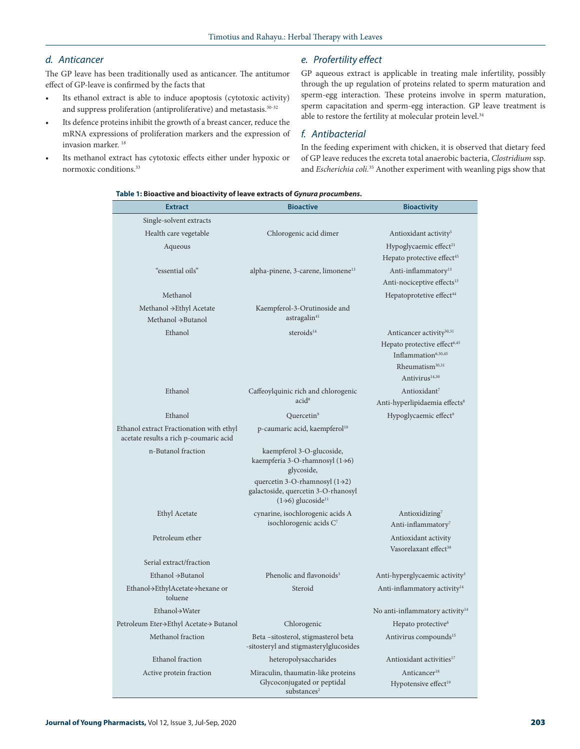# *d. Anticancer*

The GP leave has been traditionally used as anticancer. The antitumor effect of GP-leave is confirmed by the facts that

- Its ethanol extract is able to induce apoptosis (cytotoxic activity) and suppress proliferation (antiproliferative) and metastasis.30-32
- Its defence proteins inhibit the growth of a breast cancer, reduce the mRNA expressions of proliferation markers and the expression of invasion marker. 18
- Its methanol extract has cytotoxic effects either under hypoxic or normoxic conditions.33

# *e. Profertility effect*

GP aqueous extract is applicable in treating male infertility, possibly through the up regulation of proteins related to sperm maturation and sperm-egg interaction. These proteins involve in sperm maturation, sperm capacitation and sperm-egg interaction. GP leave treatment is able to restore the fertility at molecular protein level.<sup>34</sup>

## *f. Antibacterial*

In the feeding experiment with chicken, it is observed that dietary feed of GP leave reduces the excreta total anaerobic bacteria, *Clostridium* ssp. and *Escherichia coli.*35 Another experiment with weanling pigs show that

| Table 1: Bioactive and bioactivity of leave extracts of Gynura procumbens. |  |  |
|----------------------------------------------------------------------------|--|--|
|----------------------------------------------------------------------------|--|--|

| Single-solvent extracts<br>Health care vegetable<br>Chlorogenic acid dimer<br>Antioxidant activity <sup>5</sup><br>Hypoglycaemic effect <sup>21</sup><br>Aqueous<br>Hepato protective effect <sup>45</sup><br>"essential oils"<br>alpha-pinene, 3-carene, limonene <sup>13</sup><br>Anti-inflammatory <sup>13</sup><br>Anti-nociceptive effects <sup>13</sup><br>Methanol<br>Hepatoprotetive effect <sup>44</sup><br>Methanol → Ethyl Acetate<br>Kaempferol-3-Orutinoside and<br>astragalin <sup>41</sup><br>Methanol →Butanol<br>Ethanol<br>steroids <sup>14</sup><br>Anticancer activity <sup>30,31</sup><br>Hepato protective effect <sup>6,45</sup><br>Inflammation <sup>6,30,45</sup><br>Rheumatism <sup>30,31</sup><br>Antivirus <sup>14,30</sup><br>Ethanol<br>Antioxidant <sup>7</sup><br>Caffeoylquinic rich and chlorogenic<br>acid <sup>8</sup><br>Anti-hyperlipidaemia effects <sup>8</sup><br>Ethanol<br>Quercetin <sup>9</sup><br>Hypoglycaemic effect <sup>9</sup><br>Ethanol extract Fractionation with ethyl<br>p-caumaric acid, kaempferol <sup>10</sup><br>acetate results a rich p-coumaric acid<br>n-Butanol fraction<br>kaempferol 3-O-glucoside,<br>kaempferia 3-O-rhamnosyl (1-6)<br>glycoside,<br>quercetin 3-O-rhamnosyl $(1\rightarrow 2)$<br>galactoside, quercetin 3-O-rhanosyl<br>$(1\rightarrow 6)$ glucoside <sup>11</sup><br>Ethyl Acetate<br>cynarine, isochlorogenic acids A<br>Antioxidizing <sup>7</sup><br>isochlorogenic acids C <sup>7</sup><br>Anti-inflammatory <sup>7</sup><br>Petroleum ether<br>Antioxidant activity<br>Vasorelaxant effect <sup>39</sup><br>Serial extract/fraction<br>Phenolic and flavonoids <sup>3</sup><br>Ethanol $\rightarrow$ Butanol<br>Anti-hyperglycaemic activity <sup>3</sup><br>Ethanol→EthylAcetate→hexane or<br>Steroid<br>Anti-inflammatory activity <sup>14</sup><br>toluene<br>Ethanol->Water<br>No anti-inflammatory activity <sup>14</sup><br>Petroleum Eter→Ethyl Acetate→ Butanol<br>Hepato protective <sup>6</sup><br>Chlorogenic<br>Methanol fraction<br>Antivirus compounds <sup>15</sup><br>Beta – sitosterol, stigmasterol beta<br>-sitosteryl and stigmasterylglucosides<br>Ethanol fraction<br>heteropolysaccharides<br>Antioxidant activities <sup>17</sup><br>Anticancer <sup>18</sup><br>Active protein fraction<br>Miraculin, thaumatin-like proteins<br>Glycoconjugated or peptidal<br>Hypotensive effect <sup>19</sup><br>substances <sup>2</sup> | <b>Extract</b> | <b>Bioactive</b> | <b>Bioactivity</b> |
|----------------------------------------------------------------------------------------------------------------------------------------------------------------------------------------------------------------------------------------------------------------------------------------------------------------------------------------------------------------------------------------------------------------------------------------------------------------------------------------------------------------------------------------------------------------------------------------------------------------------------------------------------------------------------------------------------------------------------------------------------------------------------------------------------------------------------------------------------------------------------------------------------------------------------------------------------------------------------------------------------------------------------------------------------------------------------------------------------------------------------------------------------------------------------------------------------------------------------------------------------------------------------------------------------------------------------------------------------------------------------------------------------------------------------------------------------------------------------------------------------------------------------------------------------------------------------------------------------------------------------------------------------------------------------------------------------------------------------------------------------------------------------------------------------------------------------------------------------------------------------------------------------------------------------------------------------------------------------------------------------------------------------------------------------------------------------------------------------------------------------------------------------------------------------------------------------------------------------------------------------------------------------------------------------------------------------------------------------------------------------------------------------------------------------------------------------|----------------|------------------|--------------------|
|                                                                                                                                                                                                                                                                                                                                                                                                                                                                                                                                                                                                                                                                                                                                                                                                                                                                                                                                                                                                                                                                                                                                                                                                                                                                                                                                                                                                                                                                                                                                                                                                                                                                                                                                                                                                                                                                                                                                                                                                                                                                                                                                                                                                                                                                                                                                                                                                                                                    |                |                  |                    |
|                                                                                                                                                                                                                                                                                                                                                                                                                                                                                                                                                                                                                                                                                                                                                                                                                                                                                                                                                                                                                                                                                                                                                                                                                                                                                                                                                                                                                                                                                                                                                                                                                                                                                                                                                                                                                                                                                                                                                                                                                                                                                                                                                                                                                                                                                                                                                                                                                                                    |                |                  |                    |
|                                                                                                                                                                                                                                                                                                                                                                                                                                                                                                                                                                                                                                                                                                                                                                                                                                                                                                                                                                                                                                                                                                                                                                                                                                                                                                                                                                                                                                                                                                                                                                                                                                                                                                                                                                                                                                                                                                                                                                                                                                                                                                                                                                                                                                                                                                                                                                                                                                                    |                |                  |                    |
|                                                                                                                                                                                                                                                                                                                                                                                                                                                                                                                                                                                                                                                                                                                                                                                                                                                                                                                                                                                                                                                                                                                                                                                                                                                                                                                                                                                                                                                                                                                                                                                                                                                                                                                                                                                                                                                                                                                                                                                                                                                                                                                                                                                                                                                                                                                                                                                                                                                    |                |                  |                    |
|                                                                                                                                                                                                                                                                                                                                                                                                                                                                                                                                                                                                                                                                                                                                                                                                                                                                                                                                                                                                                                                                                                                                                                                                                                                                                                                                                                                                                                                                                                                                                                                                                                                                                                                                                                                                                                                                                                                                                                                                                                                                                                                                                                                                                                                                                                                                                                                                                                                    |                |                  |                    |
|                                                                                                                                                                                                                                                                                                                                                                                                                                                                                                                                                                                                                                                                                                                                                                                                                                                                                                                                                                                                                                                                                                                                                                                                                                                                                                                                                                                                                                                                                                                                                                                                                                                                                                                                                                                                                                                                                                                                                                                                                                                                                                                                                                                                                                                                                                                                                                                                                                                    |                |                  |                    |
|                                                                                                                                                                                                                                                                                                                                                                                                                                                                                                                                                                                                                                                                                                                                                                                                                                                                                                                                                                                                                                                                                                                                                                                                                                                                                                                                                                                                                                                                                                                                                                                                                                                                                                                                                                                                                                                                                                                                                                                                                                                                                                                                                                                                                                                                                                                                                                                                                                                    |                |                  |                    |
|                                                                                                                                                                                                                                                                                                                                                                                                                                                                                                                                                                                                                                                                                                                                                                                                                                                                                                                                                                                                                                                                                                                                                                                                                                                                                                                                                                                                                                                                                                                                                                                                                                                                                                                                                                                                                                                                                                                                                                                                                                                                                                                                                                                                                                                                                                                                                                                                                                                    |                |                  |                    |
|                                                                                                                                                                                                                                                                                                                                                                                                                                                                                                                                                                                                                                                                                                                                                                                                                                                                                                                                                                                                                                                                                                                                                                                                                                                                                                                                                                                                                                                                                                                                                                                                                                                                                                                                                                                                                                                                                                                                                                                                                                                                                                                                                                                                                                                                                                                                                                                                                                                    |                |                  |                    |
|                                                                                                                                                                                                                                                                                                                                                                                                                                                                                                                                                                                                                                                                                                                                                                                                                                                                                                                                                                                                                                                                                                                                                                                                                                                                                                                                                                                                                                                                                                                                                                                                                                                                                                                                                                                                                                                                                                                                                                                                                                                                                                                                                                                                                                                                                                                                                                                                                                                    |                |                  |                    |
|                                                                                                                                                                                                                                                                                                                                                                                                                                                                                                                                                                                                                                                                                                                                                                                                                                                                                                                                                                                                                                                                                                                                                                                                                                                                                                                                                                                                                                                                                                                                                                                                                                                                                                                                                                                                                                                                                                                                                                                                                                                                                                                                                                                                                                                                                                                                                                                                                                                    |                |                  |                    |
|                                                                                                                                                                                                                                                                                                                                                                                                                                                                                                                                                                                                                                                                                                                                                                                                                                                                                                                                                                                                                                                                                                                                                                                                                                                                                                                                                                                                                                                                                                                                                                                                                                                                                                                                                                                                                                                                                                                                                                                                                                                                                                                                                                                                                                                                                                                                                                                                                                                    |                |                  |                    |
|                                                                                                                                                                                                                                                                                                                                                                                                                                                                                                                                                                                                                                                                                                                                                                                                                                                                                                                                                                                                                                                                                                                                                                                                                                                                                                                                                                                                                                                                                                                                                                                                                                                                                                                                                                                                                                                                                                                                                                                                                                                                                                                                                                                                                                                                                                                                                                                                                                                    |                |                  |                    |
|                                                                                                                                                                                                                                                                                                                                                                                                                                                                                                                                                                                                                                                                                                                                                                                                                                                                                                                                                                                                                                                                                                                                                                                                                                                                                                                                                                                                                                                                                                                                                                                                                                                                                                                                                                                                                                                                                                                                                                                                                                                                                                                                                                                                                                                                                                                                                                                                                                                    |                |                  |                    |
|                                                                                                                                                                                                                                                                                                                                                                                                                                                                                                                                                                                                                                                                                                                                                                                                                                                                                                                                                                                                                                                                                                                                                                                                                                                                                                                                                                                                                                                                                                                                                                                                                                                                                                                                                                                                                                                                                                                                                                                                                                                                                                                                                                                                                                                                                                                                                                                                                                                    |                |                  |                    |
|                                                                                                                                                                                                                                                                                                                                                                                                                                                                                                                                                                                                                                                                                                                                                                                                                                                                                                                                                                                                                                                                                                                                                                                                                                                                                                                                                                                                                                                                                                                                                                                                                                                                                                                                                                                                                                                                                                                                                                                                                                                                                                                                                                                                                                                                                                                                                                                                                                                    |                |                  |                    |
|                                                                                                                                                                                                                                                                                                                                                                                                                                                                                                                                                                                                                                                                                                                                                                                                                                                                                                                                                                                                                                                                                                                                                                                                                                                                                                                                                                                                                                                                                                                                                                                                                                                                                                                                                                                                                                                                                                                                                                                                                                                                                                                                                                                                                                                                                                                                                                                                                                                    |                |                  |                    |
|                                                                                                                                                                                                                                                                                                                                                                                                                                                                                                                                                                                                                                                                                                                                                                                                                                                                                                                                                                                                                                                                                                                                                                                                                                                                                                                                                                                                                                                                                                                                                                                                                                                                                                                                                                                                                                                                                                                                                                                                                                                                                                                                                                                                                                                                                                                                                                                                                                                    |                |                  |                    |
|                                                                                                                                                                                                                                                                                                                                                                                                                                                                                                                                                                                                                                                                                                                                                                                                                                                                                                                                                                                                                                                                                                                                                                                                                                                                                                                                                                                                                                                                                                                                                                                                                                                                                                                                                                                                                                                                                                                                                                                                                                                                                                                                                                                                                                                                                                                                                                                                                                                    |                |                  |                    |
|                                                                                                                                                                                                                                                                                                                                                                                                                                                                                                                                                                                                                                                                                                                                                                                                                                                                                                                                                                                                                                                                                                                                                                                                                                                                                                                                                                                                                                                                                                                                                                                                                                                                                                                                                                                                                                                                                                                                                                                                                                                                                                                                                                                                                                                                                                                                                                                                                                                    |                |                  |                    |
|                                                                                                                                                                                                                                                                                                                                                                                                                                                                                                                                                                                                                                                                                                                                                                                                                                                                                                                                                                                                                                                                                                                                                                                                                                                                                                                                                                                                                                                                                                                                                                                                                                                                                                                                                                                                                                                                                                                                                                                                                                                                                                                                                                                                                                                                                                                                                                                                                                                    |                |                  |                    |
|                                                                                                                                                                                                                                                                                                                                                                                                                                                                                                                                                                                                                                                                                                                                                                                                                                                                                                                                                                                                                                                                                                                                                                                                                                                                                                                                                                                                                                                                                                                                                                                                                                                                                                                                                                                                                                                                                                                                                                                                                                                                                                                                                                                                                                                                                                                                                                                                                                                    |                |                  |                    |
|                                                                                                                                                                                                                                                                                                                                                                                                                                                                                                                                                                                                                                                                                                                                                                                                                                                                                                                                                                                                                                                                                                                                                                                                                                                                                                                                                                                                                                                                                                                                                                                                                                                                                                                                                                                                                                                                                                                                                                                                                                                                                                                                                                                                                                                                                                                                                                                                                                                    |                |                  |                    |
|                                                                                                                                                                                                                                                                                                                                                                                                                                                                                                                                                                                                                                                                                                                                                                                                                                                                                                                                                                                                                                                                                                                                                                                                                                                                                                                                                                                                                                                                                                                                                                                                                                                                                                                                                                                                                                                                                                                                                                                                                                                                                                                                                                                                                                                                                                                                                                                                                                                    |                |                  |                    |
|                                                                                                                                                                                                                                                                                                                                                                                                                                                                                                                                                                                                                                                                                                                                                                                                                                                                                                                                                                                                                                                                                                                                                                                                                                                                                                                                                                                                                                                                                                                                                                                                                                                                                                                                                                                                                                                                                                                                                                                                                                                                                                                                                                                                                                                                                                                                                                                                                                                    |                |                  |                    |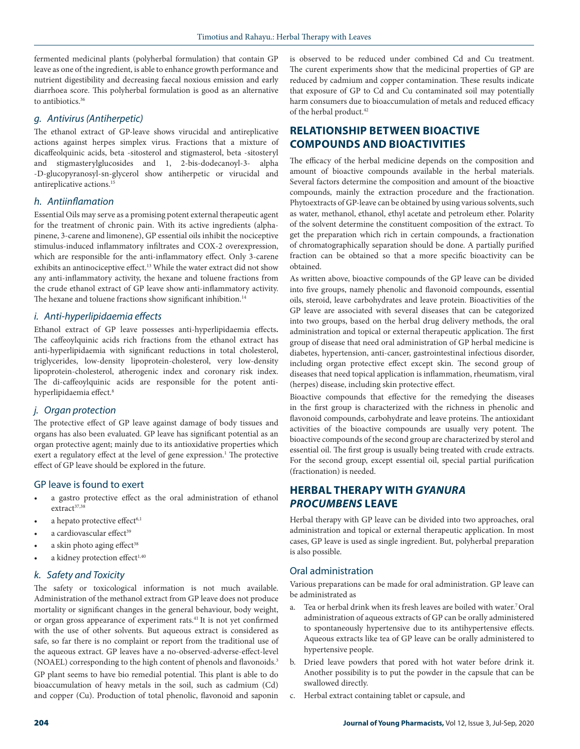fermented medicinal plants (polyherbal formulation) that contain GP leave as one of the ingredient, is able to enhance growth performance and nutrient digestibility and decreasing faecal noxious emission and early diarrhoea score. This polyherbal formulation is good as an alternative to antibiotics.<sup>36</sup>

## *g. Antivirus (Antiherpetic)*

The ethanol extract of GP-leave shows virucidal and antireplicative actions against herpes simplex virus. Fractions that a mixture of dicaffeolquinic acids, beta -sitosterol and stigmasterol, beta -sitosteryl and stigmasterylglucosides and 1, 2-bis-dodecanoyl-3- alpha -D-glucopyranosyl-sn-glycerol show antiherpetic or virucidal and antireplicative actions.<sup>15</sup>

## *h. Antiinflamation*

Essential Oils may serve as a promising potent external therapeutic agent for the treatment of chronic pain. With its active ingredients (alphapinene, 3-carene and limonene), GP essential oils inhibit the nociceptive stimulus-induced inflammatory infiltrates and COX-2 overexpression, which are responsible for the anti-inflammatory effect. Only 3-carene exhibits an antinociceptive effect.<sup>13</sup> While the water extract did not show any anti-inflammatory activity, the hexane and toluene fractions from the crude ethanol extract of GP leave show anti-inflammatory activity. The hexane and toluene fractions show significant inhibition.<sup>14</sup>

# *i. Anti-hyperlipidaemia effects*

Ethanol extract of GP leave possesses anti-hyperlipidaemia effects**.** The caffeoylquinic acids rich fractions from the ethanol extract has anti-hyperlipidaemia with significant reductions in total cholesterol, triglycerides, low-density lipoprotein-cholesterol, very low-density lipoprotein-cholesterol, atherogenic index and coronary risk index. The di-caffeoylquinic acids are responsible for the potent antihyperlipidaemia effect.8

## *j. Organ protection*

The protective effect of GP leave against damage of body tissues and organs has also been evaluated. GP leave has significant potential as an organ protective agent; mainly due to its antioxidative properties which exert a regulatory effect at the level of gene expression.<sup>1</sup> The protective effect of GP leave should be explored in the future.

#### GP leave is found to exert

- a gastro protective effect as the oral administration of ethanol extract<sup>37,38</sup>
- a hepato protective effect<sup>6,1</sup>
- a cardiovascular effect<sup>39</sup>
- a skin photo aging effect<sup>38</sup>
- a kidney protection effect<sup>1,40</sup>

#### *k. Safety and Toxicity*

The safety or toxicological information is not much available. Administration of the methanol extract from GP leave does not produce mortality or significant changes in the general behaviour, body weight, or organ gross appearance of experiment rats.41 It is not yet confirmed with the use of other solvents. But aqueous extract is considered as safe, so far there is no complaint or report from the traditional use of the aqueous extract. GP leaves have a no-observed-adverse-effect-level (NOAEL) corresponding to the high content of phenols and flavonoids.3

GP plant seems to have bio remedial potential. This plant is able to do bioaccumulation of heavy metals in the soil, such as cadmium (Cd) and copper (Cu). Production of total phenolic, flavonoid and saponin is observed to be reduced under combined Cd and Cu treatment. The curent experiments show that the medicinal properties of GP are reduced by cadmium and copper contamination. These results indicate that exposure of GP to Cd and Cu contaminated soil may potentially harm consumers due to bioaccumulation of metals and reduced efficacy of the herbal product.<sup>42</sup>

# **RELATIONSHIP BETWEEN BIOACTIVE COMPOUNDS AND BIOACTIVITIES**

The efficacy of the herbal medicine depends on the composition and amount of bioactive compounds available in the herbal materials. Several factors determine the composition and amount of the bioactive compounds, mainly the extraction procedure and the fractionation. Phytoextracts of GP-leave can be obtained by using various solvents, such as water, methanol, ethanol, ethyl acetate and petroleum ether. Polarity of the solvent determine the constituent composition of the extract. To get the preparation which rich in certain compounds, a fractionation of chromatographically separation should be done. A partially purified fraction can be obtained so that a more specific bioactivity can be obtained.

As written above, bioactive compounds of the GP leave can be divided into five groups, namely phenolic and flavonoid compounds, essential oils, steroid, leave carbohydrates and leave protein. Bioactivities of the GP leave are associated with several diseases that can be categorized into two groups, based on the herbal drug delivery methods, the oral administration and topical or external therapeutic application. The first group of disease that need oral administration of GP herbal medicine is diabetes, hypertension, anti-cancer, gastrointestinal infectious disorder, including organ protective effect except skin. The second group of diseases that need topical application is inflammation, rheumatism, viral (herpes) disease, including skin protective effect.

Bioactive compounds that effective for the remedying the diseases in the first group is characterized with the richness in phenolic and flavonoid compounds, carbohydrate and leave proteins. The antioxidant activities of the bioactive compounds are usually very potent. The bioactive compounds of the second group are characterized by sterol and essential oil. The first group is usually being treated with crude extracts. For the second group, except essential oil, special partial purification (fractionation) is needed.

# **HERBAL THERAPY WITH** *GYANURA PROCUMBENS* **LEAVE**

Herbal therapy with GP leave can be divided into two approaches, oral administration and topical or external therapeutic application. In most cases, GP leave is used as single ingredient. But, polyherbal preparation is also possible.

#### Oral administration

Various preparations can be made for oral administration. GP leave can be administrated as

- a. Tea or herbal drink when its fresh leaves are boiled with water.7 Oral administration of aqueous extracts of GP can be orally administered to spontaneously hypertensive due to its antihypertensive effects. Aqueous extracts like tea of GP leave can be orally administered to hypertensive people.
- b. Dried leave powders that pored with hot water before drink it. Another possibility is to put the powder in the capsule that can be swallowed directly.
- Herbal extract containing tablet or capsule, and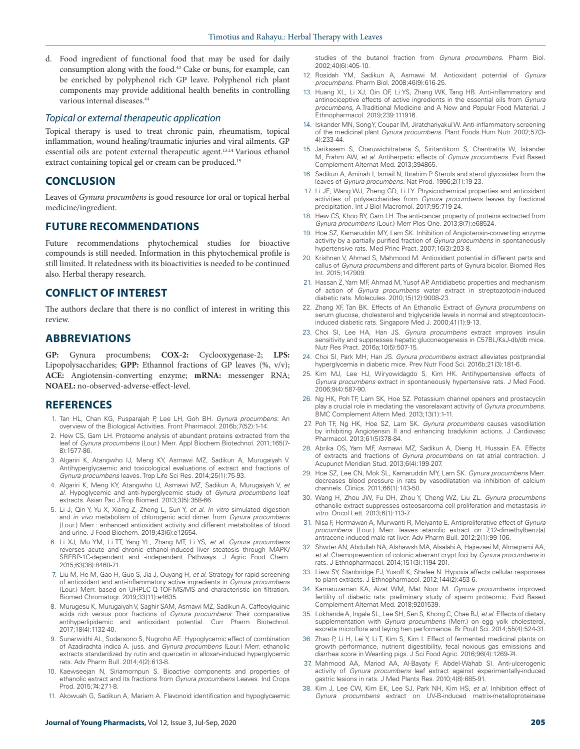d. Food ingredient of functional food that may be used for daily consumption along with the food.43 Cake or buns, for example, can be enriched by polyphenol rich GP leave. Polyphenol rich plant components may provide additional health benefits in controlling various internal diseases.44

#### *Topical or external therapeutic application*

Topical therapy is used to treat chronic pain, rheumatism, topical inflammation, wound healing/traumatic injuries and viral ailments. GP essential oils are potent external therapeutic agent.13,14 Various ethanol extract containing topical gel or cream can be produced.15

#### **CONCLUSION**

Leaves of *Gynura procumbens* is good resource for oral or topical herbal medicine/ingredient.

## **FUTURE RECOMMENDATIONS**

Future recommendations phytochemical studies for bioactive compounds is still needed. Information in this phytochemical profile is still limited. It relatedness with its bioactivities is needed to be continued also. Herbal therapy research.

# **CONFLICT OF INTEREST**

The authors declare that there is no conflict of interest in writing this review.

#### **ABBREVIATIONS**

**GP:** Gynura procumbens; **COX-2:** Cyclooxygenase-2; **LPS:**  Lipopolysaccharides; **GPP:** Ethannol fractions of GP leaves (%, v/v); **ACE:** Angiotensin-converting enzyme; **mRNA:** messenger RNA; **NOAEL:** no-observed-adverse-effect-level.

#### **REFERENCES**

- 1. Tan HL, Chan KG, Pusparajah P, Lee LH, Goh BH. *Gynura procumbens*: An overview of the Biological Activities. Front Pharmacol. 2016b;7(52):1-14.
- 2. Hew CS, Gam LH. Proteome analysis of abundant proteins extracted from the leaf of *Gynura procumbens* (Lour.) Merr. Appl Biochem Biotechnol. 2011;165(7- 8):1577-86.
- 3. Algariri K, Atangwho IJ, Meng KY, Asmawi MZ, Sadikun A, Murugaiyah V. Antihyperglycaemic and toxicological evaluations of extract and fractions of *Gynura procumbens* leaves. Trop Life Sci Res. 2014;25(1):75-93.
- 4. Algariri K, Meng KY, Atangwho IJ, Asmawi MZ, Sadikun A, Murugaiyah V, *et al*. Hypoglycemic and anti-hyperglycemic study of *Gynura procumbens* leaf extracts. Asian Pac J Trop Biomed. 2013;3(5):358-66.
- 5. Li J, Qin Y, Yu X, Xiong Z, Zheng L, Sun Y, *et al*. *In vitro* simulated digestion and *in vivo* metabolism of chlorogenic acid dimer from *Gynura procumbens*  (Lour.) Merr.: enhanced antioxidant activity and different metabolites of blood and urine. J Food Biochem. 2019;43(6):e12654.
- 6. Li XJ, Mu YM, Li TT, Yang YL, Zhang MT, Li YS, *et al. Gynura procumbens*  reverses acute and chronic ethanol-induced liver steatosis through MAPK/ SREBP-1C-dependent and -independent Pathways. J Agric Food Chem. 2015;63(38):8460-71.
- 7. Liu M, He M, Gao H, Guo S, Jia J, Ouyang H, *et al*. Strategy for rapid screening of antioxidant and anti-inflammatory active ingredients in *Gynura procumbens*  (Lour.) Merr. based on UHPLC-Q-TOF-MS/MS and characteristic ion filtration. Biomed Chromatogr. 2019;33(11):e4635.
- 8. Murugesu K, Murugaiyah V, Saghir SAM, Asmawi MZ, Sadikun A. Caffeoylquinic acids rich versus poor fractions of *Gynura procumbens*: Their comparative antihyperlipidemic and antioxidant potential. Curr Pharm Biotechnol. 2017;18(4):1132-40.
- 9. Sunarwidhi AL, Sudarsono S, Nugroho AE. Hypoglycemic effect of combination of Azadirachta indica A. juss. and *Gynura procumbens* (Lour.) Merr. ethanolic extracts standardized by rutin and quercetin in alloxan-induced hyperglycemic rats. Adv Pharm Bull. 2014;4(2):613-8.
- 10. Kaewseejan N, Siriamornpun S. Bioactive components and properties of ethanolic extract and its fractions from *Gynura procumbens* Leaves. Ind Crops Prod. 2015;74:271-8.
- 11. Akowuah G, Sadikun A, Mariam A. Flavonoid identification and hypoglycaemic

studies of the butanol fraction from *Gynura procumbens*. Pharm Biol. 2002;40(6):405-10.

- 12. Rosidah YM, Sadikun A, Asmawi M. Antioxidant potential of *Gynura procumbens*. Pharm Biol. 2008;46(9):616-25.
- 13. Huang XL, Li XJ, Qin QF, Li YS, Zhang WK, Tang HB. Anti-inflammatory and antinociceptive effects of active ingredients in the essential oils from *Gynura procumbens*, A Traditional Medicine and A New and Popular Food Material. J Ethnopharmacol. 2019;239:111916.
- 14. Iskander MN, Song Y, Coupar IM, Jiratchariyakul W. Anti-inflammatory screening of the medicinal plant *Gynura procumbens*. Plant Foods Hum Nutr. 2002;57(3- 4):233-44.
- 15. Jarikasem S, Charuwichitratana S, Siritantikorn S, Chantratita W, Iskander M, Frahm AW, *et al*. Antiherpetic effects of *Gynura procumbens*. Evid Based Complement Alternat Med. 2013;394865.
- 16. Sadikun A, Aminah I, Ismail N, Ibrahim P. Sterols and sterol glycosides from the leaves of *Gynura procumbens*. Nat Prod. 1996;2(1):19-23.
- 17. Li JE, Wang WJ, Zheng GD, Li LY. Physicochemical properties and antioxidant activities of polysaccharides from *Gynura procumbens* leaves by fractional precipitation. Int J Biol Macromol. 2017;95:719-24.
- 18. Hew CS, Khoo BY, Gam LH. The anti-cancer property of proteins extracted from *Gynura procumbens* (Lour.) Merr Plos One. 2013;8(7):e68524.
- 19. Hoe SZ, Kamaruddin MY, Lam SK. Inhibition of Angiotensin-converting enzyme activity by a partially purified fraction of *Gynura procumbens* in spontaneously hypertensive rats. Med Princ Pract. 2007;16(3):203-8.
- 20. Krishnan V, Ahmad S, Mahmood M. Antioxidant potential in different parts and callus of *Gynura procumbens* and different parts of Gynura bicolor. Biomed Res Int. 2015;147909.
- 21. Hassan Z, Yam MF, Ahmad M, Yusof AP. Antidiabetic properties and mechanism of action of *Gynura procumbens* water extract in streptozotocin-induced diabetic rats. Molecules. 2010;15(12):9008-23.
- 22. Zhang XF, Tan BK. Effects of An Ethanolic Extract of *Gynura procumbens* on serum glucose, cholesterol and triglyceride levels in normal and streptozotocininduced diabetic rats. Singapore Med J. 2000;41(1):9-13.
- 23. Choi SI, Lee HA, Han JS. *Gynura procumbens* extract improves insulin sensitivity and suppresses hepatic gluconeogenesis in C57BL/KsJ-db/db mice. Nutr Res Pract. 2016a;10(5):507-15.
- 24. Choi SI, Park MH, Han JS. *Gynura procumbens* extract alleviates postprandial hyperglycemia in diabetic mice. Prev Nutr Food Sci. 2016b;21(3):181-6.
- 25. Kim MJ, Lee HJ, Wiryowidagdo S, Kim HK. Antihypertensive effects of *Gynura procumbens* extract in spontaneously hypertensive rats. J Med Food. 2006;9(4):587-90.
- 26. Ng HK, Poh TF, Lam SK, Hoe SZ. Potassium channel openers and prostacyclin play a crucial role in mediating the vasorelaxant activity of *Gynura procumbens*. BMC Complement Altern Med. 2013;13(1):1-11.
- 27. Poh TF, Ng HK, Hoe SZ, Lam SK. *Gynura procumbens* causes vasodilation by inhibiting Angiotensin II and enhancing bradykinin actions. J Cardiovasc Pharmacol. 2013;61(5)378-84.
- 28. Abrika OS, Yam MF, Asmawi MZ, Sadikun A, Dieng H, Hussain EA. Effects of extracts and fractions of *Gynura procumbens* on rat atrial contraction. J Acupunct Meridian Stud. 2013;6(4):199-207.
- 29. Hoe SZ, Lee CN, Mok SL, Kamaruddin MY, Lam SK. *Gynura procumbens* Merr. decreases blood pressure in rats by vasodilatation via inhibition of calcium channels. Clinics. 2011;66(1):143-50.
- 30. Wang H, Zhou JW, Fu DH, Zhou Y, Cheng WZ, Liu ZL. *Gynura procumbens*  ethanolic extract suppresses osteosarcoma cell proliferation and metastasis *in vitro*. Oncol Lett. 2013;6(1):113-7.
- 31. Nisa F, Hermawan A, Murwanti R, Meiyanto E. Antiproliferative effect of *Gynura procumbens* (Lour.) Merr. leaves etanolic extract on 7,12-dimethylbenz(a) antracene induced male rat liver. Adv Pharm Bull. 2012;2(1):99-106.
- 32. Shwter AN, Abdullah NA, Alshawsh MA, Alsalahi A, Hajrezaei M, Almaqrami AA, *et al*. Chemoprevention of colonic aberrant crypt foci by *Gynura procumbens* in rats. J Ethnopharmacol. 2014;151(3):1194-201.
- 33. Liew SY, Stanbridge EJ, Yusoff K, Shafee N. Hypoxia affects cellular responses to plant extracts. J Ethnopharmacol. 2012;144(2):453-6.
- 34. Kamaruzaman KA, Aizat WM, Mat Noor M. *Gynura procumbens* improved fertility of diabetic rats: preliminary study of sperm proteomic. Evid Based Complement Alternat Med. 2018;9201539.
- 35. Lokhande A, Ingale SL, Lee SH, Sen S, Khong C, Chae BJ, *et al.* Effects of dietary supplementation with *Gynura procumbens* (Merr.) on egg yolk cholesterol, excreta microflora and laying hen performance. Br Poult Sci. 2014;55(4):524-31.
- 36. Zhao P, Li H, Lei Y, Li T, Kim S, Kim I. Effect of fermented medicinal plants on growth performance, nutrient digestibility, fecal noxious gas emissions and diarrhea score in Weanling pigs. J Sci Food Agric. 2016;96(4):1269-74.
- 37. Mahmood AA, Mariod AA, Al-Bayaty F, Abdel-Wahab SI. Anti-ulcerogenic activity of *Gynura procumbens* leaf extract against experimentally-induced gastric lesions in rats. J Med Plants Res. 2010;4(8):685-91.
- 38. Kim J, Lee CW, Kim EK, Lee SJ, Park NH, Kim HS, *et al.* Inhibition effect of *Gynura procumbens* extract on UV-B-induced matrix-metalloproteinase